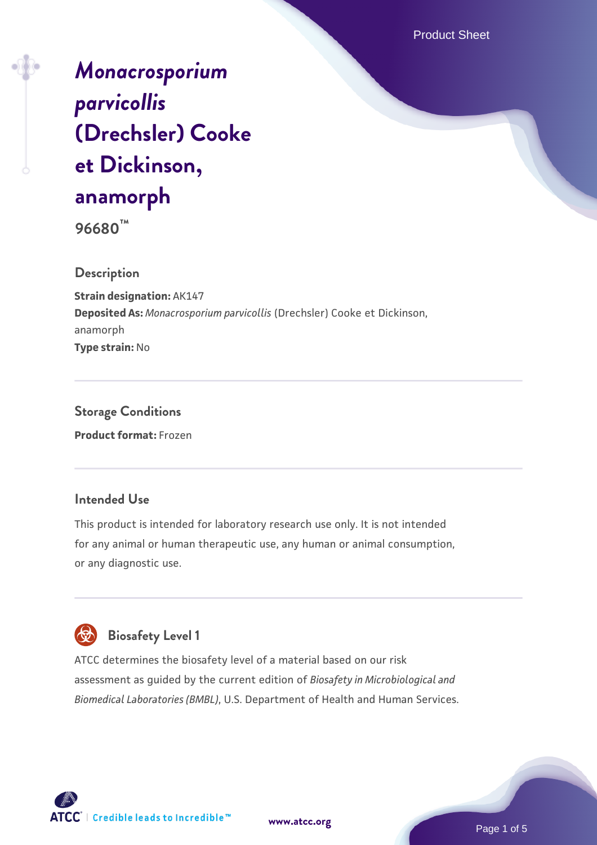Product Sheet

*[Monacrosporium](https://www.atcc.org/products/96680) [parvicollis](https://www.atcc.org/products/96680)* **[\(Drechsler\) Cooke](https://www.atcc.org/products/96680) [et Dickinson,](https://www.atcc.org/products/96680) [anamorph](https://www.atcc.org/products/96680)**

**96680™**

**Description**

**Strain designation:** AK147 **Deposited As:** *Monacrosporium parvicollis* (Drechsler) Cooke et Dickinson, anamorph **Type strain:** No

**Storage Conditions Product format:** Frozen

## **Intended Use**

This product is intended for laboratory research use only. It is not intended for any animal or human therapeutic use, any human or animal consumption, or any diagnostic use.



# **Biosafety Level 1**

ATCC determines the biosafety level of a material based on our risk assessment as guided by the current edition of *Biosafety in Microbiological and Biomedical Laboratories (BMBL)*, U.S. Department of Health and Human Services.

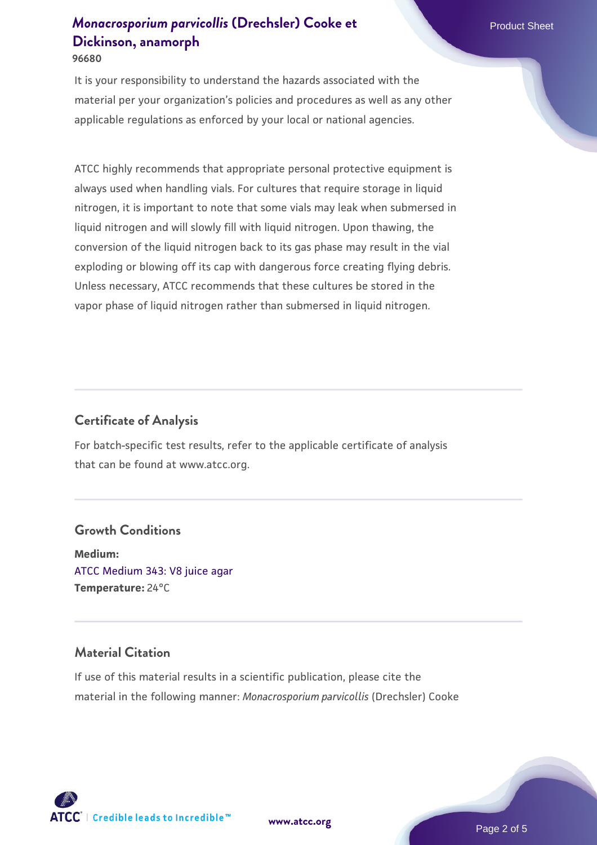It is your responsibility to understand the hazards associated with the material per your organization's policies and procedures as well as any other applicable regulations as enforced by your local or national agencies.

ATCC highly recommends that appropriate personal protective equipment is always used when handling vials. For cultures that require storage in liquid nitrogen, it is important to note that some vials may leak when submersed in liquid nitrogen and will slowly fill with liquid nitrogen. Upon thawing, the conversion of the liquid nitrogen back to its gas phase may result in the vial exploding or blowing off its cap with dangerous force creating flying debris. Unless necessary, ATCC recommends that these cultures be stored in the vapor phase of liquid nitrogen rather than submersed in liquid nitrogen.

## **Certificate of Analysis**

For batch-specific test results, refer to the applicable certificate of analysis that can be found at www.atcc.org.

## **Growth Conditions**

**Medium:**  [ATCC Medium 343: V8 juice agar](https://www.atcc.org/-/media/product-assets/documents/microbial-media-formulations/3/4/3/atcc-medium-0343.pdf?rev=fbf48fa24e664932828269db1822ab12) **Temperature:** 24°C

## **Material Citation**

If use of this material results in a scientific publication, please cite the material in the following manner: *Monacrosporium parvicollis* (Drechsler) Cooke

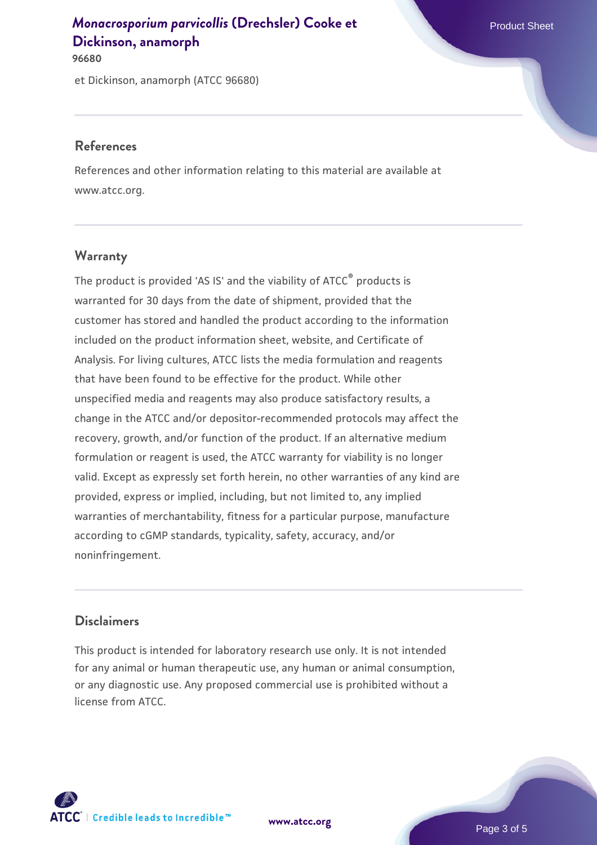**96680**

et Dickinson, anamorph (ATCC 96680)

#### **References**

References and other information relating to this material are available at www.atcc.org.

## **Warranty**

The product is provided 'AS IS' and the viability of ATCC® products is warranted for 30 days from the date of shipment, provided that the customer has stored and handled the product according to the information included on the product information sheet, website, and Certificate of Analysis. For living cultures, ATCC lists the media formulation and reagents that have been found to be effective for the product. While other unspecified media and reagents may also produce satisfactory results, a change in the ATCC and/or depositor-recommended protocols may affect the recovery, growth, and/or function of the product. If an alternative medium formulation or reagent is used, the ATCC warranty for viability is no longer valid. Except as expressly set forth herein, no other warranties of any kind are provided, express or implied, including, but not limited to, any implied warranties of merchantability, fitness for a particular purpose, manufacture according to cGMP standards, typicality, safety, accuracy, and/or noninfringement.

## **Disclaimers**

This product is intended for laboratory research use only. It is not intended for any animal or human therapeutic use, any human or animal consumption, or any diagnostic use. Any proposed commercial use is prohibited without a license from ATCC.

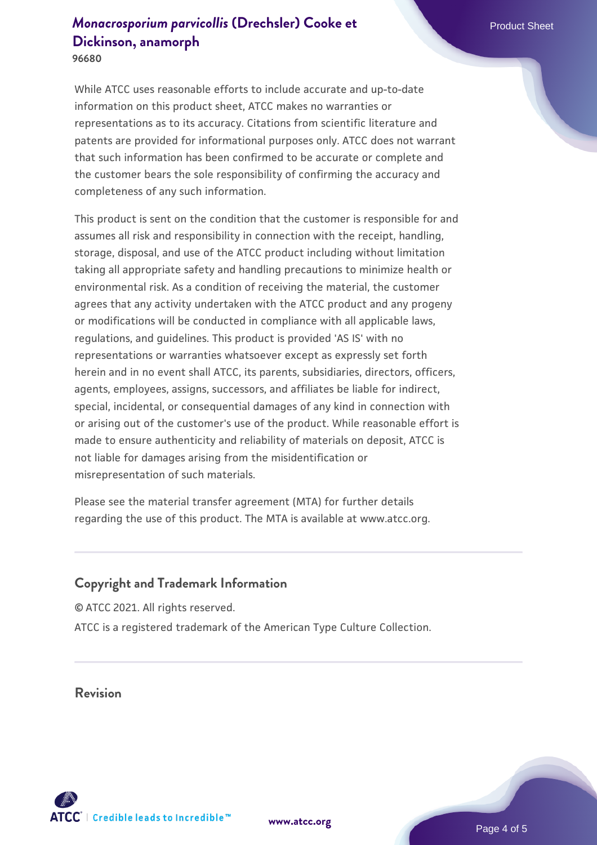**96680**

While ATCC uses reasonable efforts to include accurate and up-to-date information on this product sheet, ATCC makes no warranties or representations as to its accuracy. Citations from scientific literature and patents are provided for informational purposes only. ATCC does not warrant that such information has been confirmed to be accurate or complete and the customer bears the sole responsibility of confirming the accuracy and completeness of any such information.

This product is sent on the condition that the customer is responsible for and assumes all risk and responsibility in connection with the receipt, handling, storage, disposal, and use of the ATCC product including without limitation taking all appropriate safety and handling precautions to minimize health or environmental risk. As a condition of receiving the material, the customer agrees that any activity undertaken with the ATCC product and any progeny or modifications will be conducted in compliance with all applicable laws, regulations, and guidelines. This product is provided 'AS IS' with no representations or warranties whatsoever except as expressly set forth herein and in no event shall ATCC, its parents, subsidiaries, directors, officers, agents, employees, assigns, successors, and affiliates be liable for indirect, special, incidental, or consequential damages of any kind in connection with or arising out of the customer's use of the product. While reasonable effort is made to ensure authenticity and reliability of materials on deposit, ATCC is not liable for damages arising from the misidentification or misrepresentation of such materials.

Please see the material transfer agreement (MTA) for further details regarding the use of this product. The MTA is available at www.atcc.org.

## **Copyright and Trademark Information**

© ATCC 2021. All rights reserved. ATCC is a registered trademark of the American Type Culture Collection.

**Revision**



**[www.atcc.org](http://www.atcc.org)**

Page 4 of 5